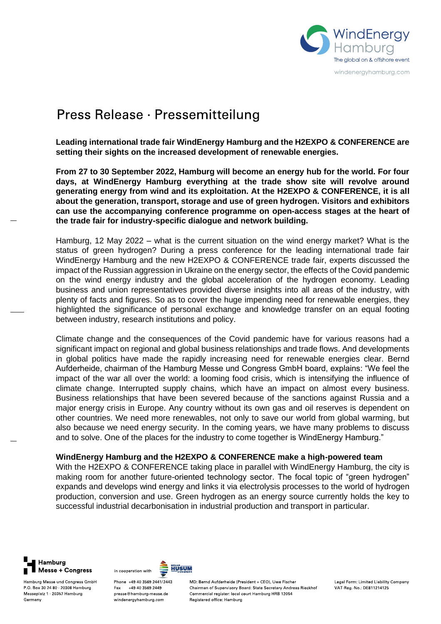

# Press Release · Pressemitteilung

**Leading international trade fair WindEnergy Hamburg and the H2EXPO & CONFERENCE are setting their sights on the increased development of renewable energies.**

**From 27 to 30 September 2022, Hamburg will become an energy hub for the world. For four days, at WindEnergy Hamburg everything at the trade show site will revolve around generating energy from wind and its exploitation. At the H2EXPO & CONFERENCE, it is all about the generation, transport, storage and use of green hydrogen. Visitors and exhibitors can use the accompanying conference programme on open-access stages at the heart of the trade fair for industry-specific dialogue and network building.**

Hamburg, 12 May 2022 – what is the current situation on the wind energy market? What is the status of green hydrogen? During a press conference for the leading international trade fair WindEnergy Hamburg and the new H2EXPO & CONFERENCE trade fair, experts discussed the impact of the Russian aggression in Ukraine on the energy sector, the effects of the Covid pandemic on the wind energy industry and the global acceleration of the hydrogen economy. Leading business and union representatives provided diverse insights into all areas of the industry, with plenty of facts and figures. So as to cover the huge impending need for renewable energies, they highlighted the significance of personal exchange and knowledge transfer on an equal footing between industry, research institutions and policy.

Climate change and the consequences of the Covid pandemic have for various reasons had a significant impact on regional and global business relationships and trade flows. And developments in global politics have made the rapidly increasing need for renewable energies clear. Bernd Aufderheide, chairman of the Hamburg Messe und Congress GmbH board, explains: "We feel the impact of the war all over the world: a looming food crisis, which is intensifying the influence of climate change. Interrupted supply chains, which have an impact on almost every business. Business relationships that have been severed because of the sanctions against Russia and a major energy crisis in Europe. Any country without its own gas and oil reserves is dependent on other countries. We need more renewables, not only to save our world from global warming, but also because we need energy security. In the coming years, we have many problems to discuss and to solve. One of the places for the industry to come together is WindEnergy Hamburg."

# **WindEnergy Hamburg and the H2EXPO & CONFERENCE make a high-powered team**

With the H2EXPO & CONFERENCE taking place in parallel with WindEnergy Hamburg, the city is making room for another future-oriented technology sector. The focal topic of "green hydrogen" expands and develops wind energy and links it via electrolysis processes to the world of hydrogen production, conversion and use. Green hydrogen as an energy source currently holds the key to successful industrial decarbonisation in industrial production and transport in particular.



Hamburg Messe und Congress GmbH P.O. Box 30 24 80 20308 Hamburg Messeplatz 1 20357 Hamburg Germany



Phone +49 40 3569 2441/2443 Fax +49 40 3569 2449 presse@hamburg-messe.de windenergyhamburg.com

MD: Bernd Aufderheide (President + CEO), Uwe Fischer Chairman of Supervisory Board: State Secretary Andreas Rieckhof Commercial register: local court Hamburg HRB 12054 Registered office: Hamburg

Legal Form: Limited Liability Company VAT Reg. No : DE811214125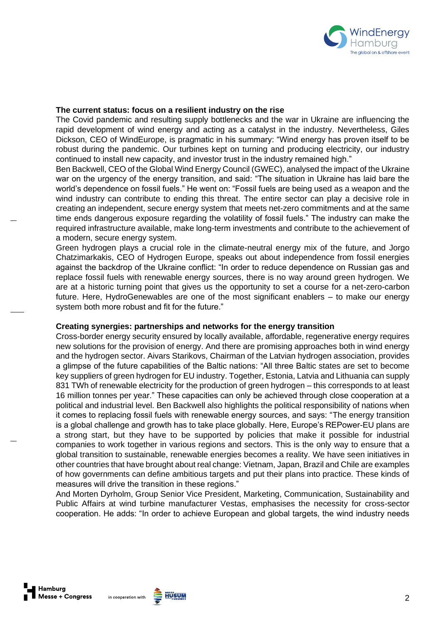

#### **The current status: focus on a resilient industry on the rise**

The Covid pandemic and resulting supply bottlenecks and the war in Ukraine are influencing the rapid development of wind energy and acting as a catalyst in the industry. Nevertheless, Giles Dickson, CEO of WindEurope, is pragmatic in his summary: "Wind energy has proven itself to be robust during the pandemic. Our turbines kept on turning and producing electricity, our industry continued to install new capacity, and investor trust in the industry remained high."

Ben Backwell, CEO of the Global Wind Energy Council (GWEC), analysed the impact of the Ukraine war on the urgency of the energy transition, and said: "The situation in Ukraine has laid bare the world's dependence on fossil fuels." He went on: "Fossil fuels are being used as a weapon and the wind industry can contribute to ending this threat. The entire sector can play a decisive role in creating an independent, secure energy system that meets net-zero commitments and at the same time ends dangerous exposure regarding the volatility of fossil fuels." The industry can make the required infrastructure available, make long-term investments and contribute to the achievement of a modern, secure energy system.

Green hydrogen plays a crucial role in the climate-neutral energy mix of the future, and Jorgo Chatzimarkakis, CEO of Hydrogen Europe, speaks out about independence from fossil energies against the backdrop of the Ukraine conflict: "In order to reduce dependence on Russian gas and replace fossil fuels with renewable energy sources, there is no way around green hydrogen. We are at a historic turning point that gives us the opportunity to set a course for a net-zero-carbon future. Here, HydroGenewables are one of the most significant enablers – to make our energy system both more robust and fit for the future."

# **Creating synergies: partnerships and networks for the energy transition**

Cross-border energy security ensured by locally available, affordable, regenerative energy requires new solutions for the provision of energy. And there are promising approaches both in wind energy and the hydrogen sector. Aivars Starikovs, Chairman of the Latvian hydrogen association, provides a glimpse of the future capabilities of the Baltic nations: "All three Baltic states are set to become key suppliers of green hydrogen for EU industry. Together, Estonia, Latvia and Lithuania can supply 831 TWh of renewable electricity for the production of green hydrogen – this corresponds to at least 16 million tonnes per year." These capacities can only be achieved through close cooperation at a political and industrial level. Ben Backwell also highlights the political responsibility of nations when it comes to replacing fossil fuels with renewable energy sources, and says: "The energy transition is a global challenge and growth has to take place globally. Here, Europe's REPower-EU plans are a strong start, but they have to be supported by policies that make it possible for industrial companies to work together in various regions and sectors. This is the only way to ensure that a global transition to sustainable, renewable energies becomes a reality. We have seen initiatives in other countries that have brought about real change: Vietnam, Japan, Brazil and Chile are examples of how governments can define ambitious targets and put their plans into practice. These kinds of measures will drive the transition in these regions."

And Morten Dyrholm, Group Senior Vice President, Marketing, Communication, Sustainability and Public Affairs at wind turbine manufacturer Vestas, emphasises the necessity for cross-sector cooperation. He adds: "In order to achieve European and global targets, the wind industry needs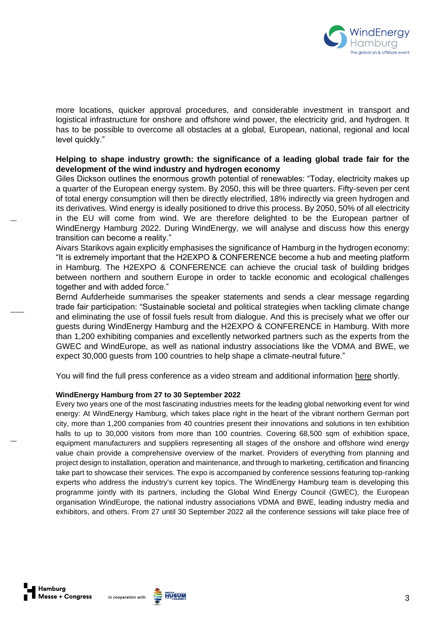

more locations, quicker approval procedures, and considerable investment in transport and logistical infrastructure for onshore and offshore wind power, the electricity grid, and hydrogen. It has to be possible to overcome all obstacles at a global, European, national, regional and local level quickly."

# **Helping to shape industry growth: the significance of a leading global trade fair for the development of the wind industry and hydrogen economy**

Giles Dickson outlines the enormous growth potential of renewables: "Today, electricity makes up a quarter of the European energy system. By 2050, this will be three quarters. Fifty-seven per cent of total energy consumption will then be directly electrified, 18% indirectly via green hydrogen and its derivatives. Wind energy is ideally positioned to drive this process. By 2050, 50% of all electricity in the EU will come from wind. We are therefore delighted to be the European partner of WindEnergy Hamburg 2022. During WindEnergy, we will analyse and discuss how this energy transition can become a reality."

Aivars Starikovs again explicitly emphasises the significance of Hamburg in the hydrogen economy: "It is extremely important that the H2EXPO & CONFERENCE become a hub and meeting platform in Hamburg. The H2EXPO & CONFERENCE can achieve the crucial task of building bridges between northern and southern Europe in order to tackle economic and ecological challenges together and with added force."

Bernd Aufderheide summarises the speaker statements and sends a clear message regarding trade fair participation: "Sustainable societal and political strategies when tackling climate change and eliminating the use of fossil fuels result from dialogue. And this is precisely what we offer our guests during WindEnergy Hamburg and the H2EXPO & CONFERENCE in Hamburg. With more than 1,200 exhibiting companies and excellently networked partners such as the experts from the GWEC and WindEurope, as well as national industry associations like the VDMA and BWE, we expect 30,000 guests from 100 countries to help shape a climate-neutral future."

You will find the full press conference as a video stream and additional information [here](https://www.windenergyhamburg.com/en/infos/press/press-conference) shortly.

#### **WindEnergy Hamburg from 27 to 30 September 2022**

Every two years one of the most fascinating industries meets for the leading global networking event for wind energy: At WindEnergy Hamburg, which takes place right in the heart of the vibrant northern German port city, more than 1,200 companies from 40 countries present their innovations and solutions in ten exhibition halls to up to 30,000 visitors from more than 100 countries. Covering 68,500 sqm of exhibition space, equipment manufacturers and suppliers representing all stages of the onshore and offshore wind energy value chain provide a comprehensive overview of the market. Providers of everything from planning and project design to installation, operation and maintenance, and through to marketing, certification and financing take part to showcase their services. The expo is accompanied by conference sessions featuring top-ranking experts who address the industry's current key topics. The WindEnergy Hamburg team is developing this programme jointly with its partners, including the Global Wind Energy Council (GWEC), the European organisation WindEurope, the national industry associations VDMA and BWE, leading industry media and exhibitors, and others. From 27 until 30 September 2022 all the conference sessions will take place free of